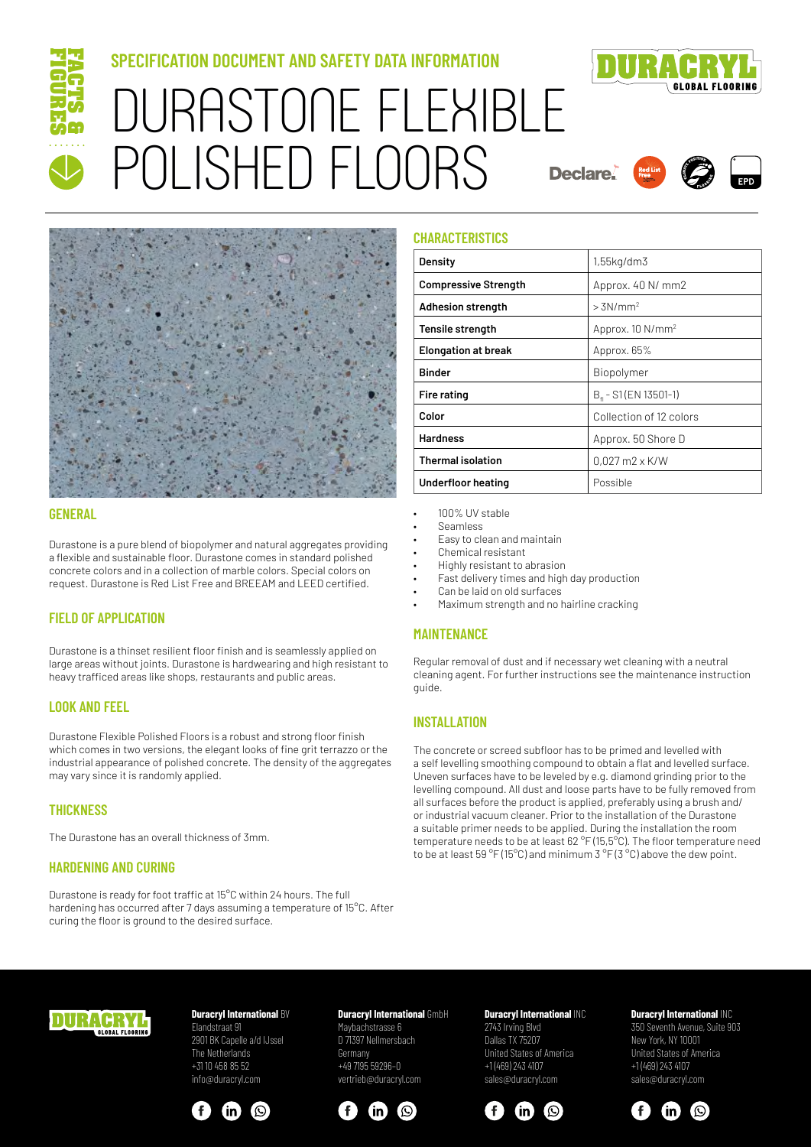

# **SPECIFICATION DOCUMENT AND SAFETY DATA INFORMATION**



# DURASTONE FLEXIBLE POLISHED FLOORS







# **GENERAL**

Durastone is a pure blend of biopolymer and natural aggregates providing a flexible and sustainable floor. Durastone comes in standard polished concrete colors and in a collection of marble colors. Special colors on request. Durastone is Red List Free and BREEAM and LEED certified.

# **FIELD OF APPLICATION**

Durastone is a thinset resilient floor finish and is seamlessly applied on large areas without joints. Durastone is hardwearing and high resistant to heavy trafficed areas like shops, restaurants and public areas.

# **LOOK AND FEEL**

Durastone Flexible Polished Floors is a robust and strong floor finish which comes in two versions, the elegant looks of fine grit terrazzo or the industrial appearance of polished concrete. The density of the aggregates may vary since it is randomly applied.

#### **THICKNESS**

The Durastone has an overall thickness of 3mm.

# **HARDENING AND CURING**

Durastone is ready for foot traffic at 15°C within 24 hours. The full hardening has occurred after 7 days assuming a temperature of 15°C. After curing the floor is ground to the desired surface.

#### **CHARACTERISTICS**

| Density                     | $1,55$ kg/dm $3$                 |
|-----------------------------|----------------------------------|
| <b>Compressive Strength</b> | Approx. 40 N/ mm2                |
| Adhesion strength           | $> 3N/mm^2$                      |
| Tensile strength            | Approx. 10 N/mm <sup>2</sup>     |
| <b>Elongation at break</b>  | Approx. 65%                      |
| <b>Binder</b>               | Biopolymer                       |
| Fire rating                 | B <sub>4</sub> - S1 (EN 13501-1) |
| Color                       | Collection of 12 colors          |
| <b>Hardness</b>             | Approx. 50 Shore D               |
| <b>Thermal isolation</b>    | $0.027$ m2 x K/W                 |
| Underfloor heating          | Possible                         |

- 100% UV stable
- Seamless
- Easy to clean and maintain
- Chemical resistant
- Highly resistant to abrasion
- Fast delivery times and high day production
- Can be laid on old surfaces
- Maximum strength and no hairline cracking

#### **MAINTENANCE**

Regular removal of dust and if necessary wet cleaning with a neutral cleaning agent. For further instructions see the maintenance instruction guide.

#### **INSTALLATION**

The concrete or screed subfloor has to be primed and levelled with a self levelling smoothing compound to obtain a flat and levelled surface. Uneven surfaces have to be leveled by e.g. diamond grinding prior to the levelling compound. All dust and loose parts have to be fully removed from all surfaces before the product is applied, preferably using a brush and/ or industrial vacuum cleaner. Prior to the installation of the Durastone a suitable primer needs to be applied. During the installation the room temperature needs to be at least 62 °F (15,5°C). The floor temperature need to be at least 59 °F (15°C) and minimum 3 °F (3 °C) above the dew point.



# **Duracryl International BV**

Elandstraat 91 2901 BK Capelle a/d IJssel The Netherlands +31 10 458 85 52 info@duracryl.com



# **Duracryl International** GmbH

Maybachstrasse 6 D 71397 Nellmersbach Germany +49 7195 59296–0 vertrieb@duracryl.com



#### **Duracryl International** INC 2743 Irving Blvd Dallas TX 75207 United States of America +1 (469) 243 4107

sales@duracryl.com



# **Duracryl International** INC

350 Seventh Avenue, Suite 903 New York, NY 10001 United States of America +1 (469) 243 4107 sales@duracryl.com